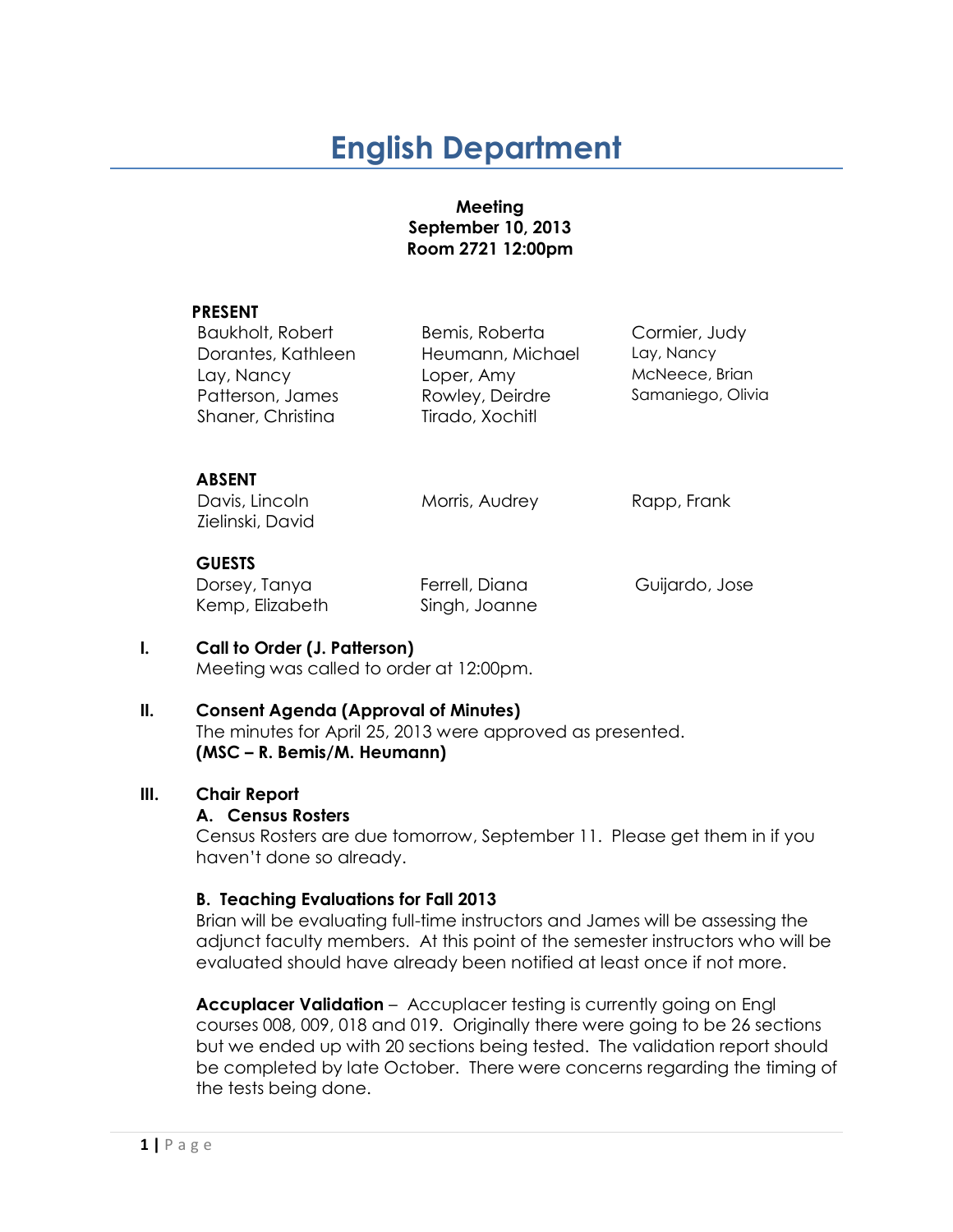# **English Department**

#### **Meeting September 10, 2013 Room 2721 12:00pm**

#### **PRESENT**

| Baukholt, Robert   | Bemis, Roberta   | Cormier, Judy     |
|--------------------|------------------|-------------------|
| Dorantes, Kathleen | Heumann, Michael | Lay, Nancy        |
| Lay, Nancy         | Loper, Amy       | McNeece, Brian    |
| Patterson, James   | Rowley, Deirdre  | Samaniego, Olivia |
| Shaner, Christina  | Tirado, Xochitl  |                   |
|                    |                  |                   |

#### **ABSENT**

Zielinski, David

Davis, Lincoln Morris, Audrey Rapp, Frank

# **GUESTS**

Dorsey, Tanya **Ferrell**, Diana Guijardo, Jose Kemp, Elizabeth Singh, Joanne

#### **I. Call to Order (J. Patterson)** Meeting was called to order at 12:00pm.

## **II. Consent Agenda (Approval of Minutes)**

The minutes for April 25, 2013 were approved as presented. **(MSC – R. Bemis/M. Heumann)**

## **III. Chair Report**

#### **A. Census Rosters**

Census Rosters are due tomorrow, September 11. Please get them in if you haven't done so already.

## **B. Teaching Evaluations for Fall 2013**

Brian will be evaluating full-time instructors and James will be assessing the adjunct faculty members. At this point of the semester instructors who will be evaluated should have already been notified at least once if not more.

**Accuplacer Validation** – Accuplacer testing is currently going on Engl courses 008, 009, 018 and 019. Originally there were going to be 26 sections but we ended up with 20 sections being tested. The validation report should be completed by late October. There were concerns regarding the timing of the tests being done.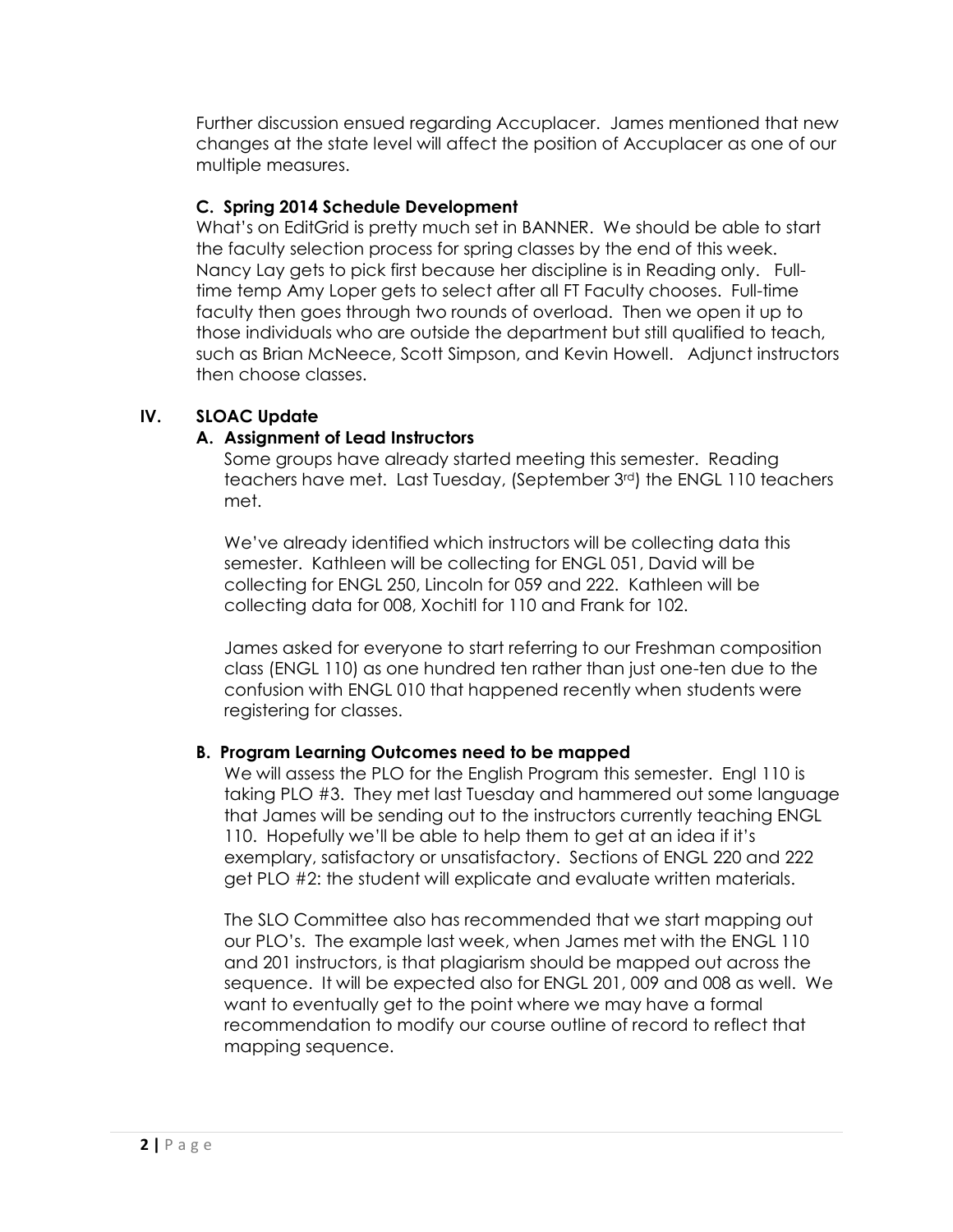Further discussion ensued regarding Accuplacer. James mentioned that new changes at the state level will affect the position of Accuplacer as one of our multiple measures.

# **C. Spring 2014 Schedule Development**

What's on EditGrid is pretty much set in BANNER. We should be able to start the faculty selection process for spring classes by the end of this week. Nancy Lay gets to pick first because her discipline is in Reading only. Fulltime temp Amy Loper gets to select after all FT Faculty chooses. Full-time faculty then goes through two rounds of overload. Then we open it up to those individuals who are outside the department but still qualified to teach, such as Brian McNeece, Scott Simpson, and Kevin Howell. Adjunct instructors then choose classes.

# **IV. SLOAC Update**

# **A. Assignment of Lead Instructors**

Some groups have already started meeting this semester. Reading teachers have met. Last Tuesday, (September 3rd) the ENGL 110 teachers met.

We've already identified which instructors will be collecting data this semester. Kathleen will be collecting for ENGL 051, David will be collecting for ENGL 250, Lincoln for 059 and 222. Kathleen will be collecting data for 008, Xochitl for 110 and Frank for 102.

James asked for everyone to start referring to our Freshman composition class (ENGL 110) as one hundred ten rather than just one-ten due to the confusion with ENGL 010 that happened recently when students were registering for classes.

## **B. Program Learning Outcomes need to be mapped**

We will assess the PLO for the English Program this semester. Engl 110 is taking PLO #3. They met last Tuesday and hammered out some language that James will be sending out to the instructors currently teaching ENGL 110. Hopefully we'll be able to help them to get at an idea if it's exemplary, satisfactory or unsatisfactory. Sections of ENGL 220 and 222 get PLO #2: the student will explicate and evaluate written materials.

The SLO Committee also has recommended that we start mapping out our PLO's. The example last week, when James met with the ENGL 110 and 201 instructors, is that plagiarism should be mapped out across the sequence. It will be expected also for ENGL 201, 009 and 008 as well. We want to eventually get to the point where we may have a formal recommendation to modify our course outline of record to reflect that mapping sequence.